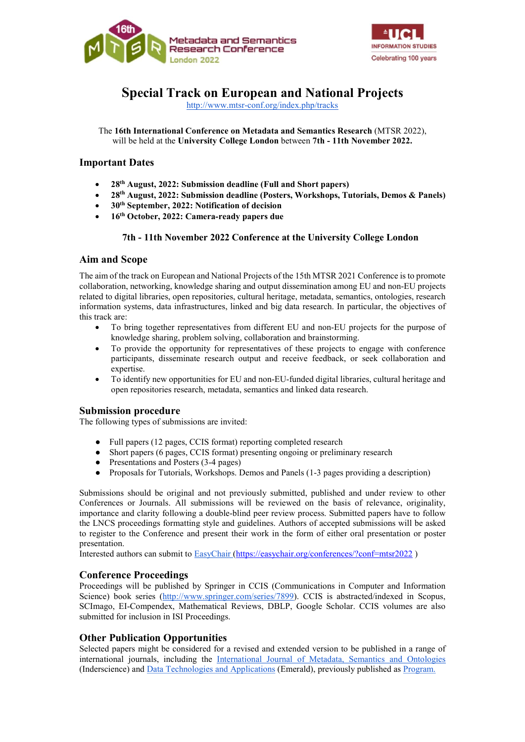



# Special Track on European and National Projects

http://www.mtsr-conf.org/index.php/tracks

The 16th International Conference on Metadata and Semantics Research (MTSR 2022), will be held at the University College London between 7th - 11th November 2022.

## Important Dates

- 28th August, 2022: Submission deadline (Full and Short papers)
- 28th August, 2022: Submission deadline (Posters, Workshops, Tutorials, Demos & Panels)
- 30th September, 2022: Notification of decision
- 16th October, 2022: Camera-ready papers due

#### 7th - 11th November 2022 Conference at the University College London

#### Aim and Scope

The aim of the track on European and National Projects of the 15th MTSR 2021 Conference is to promote collaboration, networking, knowledge sharing and output dissemination among EU and non-EU projects related to digital libraries, open repositories, cultural heritage, metadata, semantics, ontologies, research information systems, data infrastructures, linked and big data research. In particular, the objectives of this track are:

- To bring together representatives from different EU and non-EU projects for the purpose of knowledge sharing, problem solving, collaboration and brainstorming.
- To provide the opportunity for representatives of these projects to engage with conference participants, disseminate research output and receive feedback, or seek collaboration and expertise.
- To identify new opportunities for EU and non-EU-funded digital libraries, cultural heritage and open repositories research, metadata, semantics and linked data research.

#### Submission procedure

The following types of submissions are invited:

- Full papers (12 pages, CCIS format) reporting completed research
- Short papers (6 pages, CCIS format) presenting ongoing or preliminary research
- Presentations and Posters (3-4 pages)
- Proposals for Tutorials, Workshops. Demos and Panels (1-3 pages providing a description)

Submissions should be original and not previously submitted, published and under review to other Conferences or Journals. All submissions will be reviewed on the basis of relevance, originality, importance and clarity following a double-blind peer review process. Submitted papers have to follow the LNCS proceedings formatting style and guidelines. Authors of accepted submissions will be asked to register to the Conference and present their work in the form of either oral presentation or poster presentation.

Interested authors can submit to EasyChair (https://easychair.org/conferences/?conf=mtsr2022 )

#### Conference Proceedings

Proceedings will be published by Springer in CCIS (Communications in Computer and Information Science) book series (http://www.springer.com/series/7899). CCIS is abstracted/indexed in Scopus, SCImago, EI-Compendex, Mathematical Reviews, DBLP, Google Scholar. CCIS volumes are also submitted for inclusion in ISI Proceedings.

#### Other Publication Opportunities

Selected papers might be considered for a revised and extended version to be published in a range of international journals, including the International Journal of Metadata, Semantics and Ontologies (Inderscience) and Data Technologies and Applications (Emerald), previously published as Program.